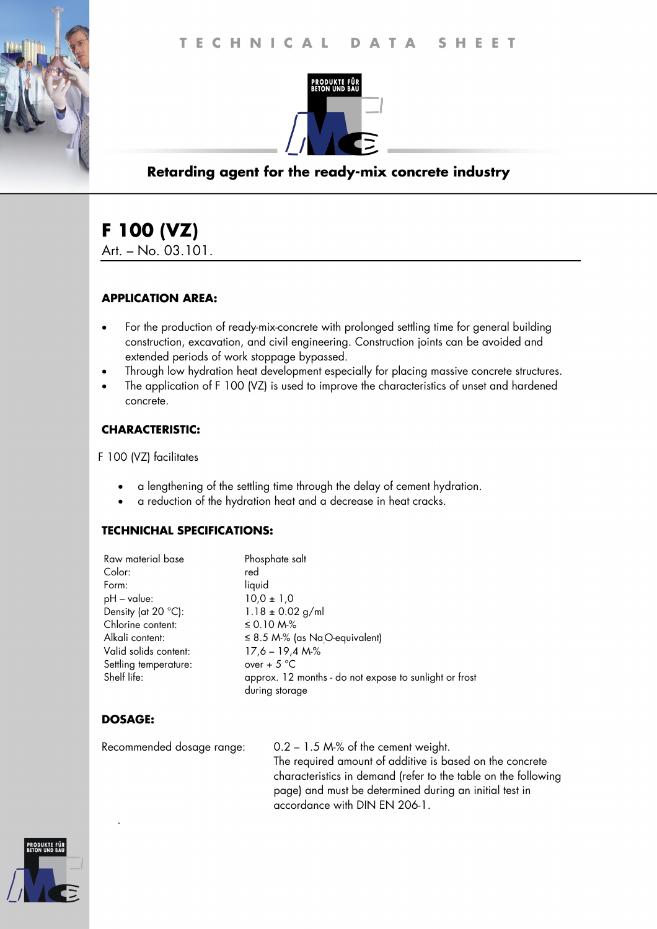

## **Retarding agent for the ready-mix concrete industry**

# **F 100 (VZ)**

Art. – No. 03.101.

#### **APPLICATION AREA:**

- For the production of ready-mix-concrete with prolonged settling time for general building construction, excavation, and civil engineering. Construction joints can be avoided and extended periods of work stoppage bypassed.
- Through low hydration heat development especially for placing massive concrete structures.
- The application of F 100 (VZ) is used to improve the characteristics of unset and hardened concrete.

#### **CHARACTERISTIC:**

F 100 (VZ) facilitates

- a lengthening of the settling time through the delay of cement hydration.
- a reduction of the hydration heat and a decrease in heat cracks.

#### **TECHNICHAL SPECIFICATIONS:**

| Phosphate salt                                                           |
|--------------------------------------------------------------------------|
| red                                                                      |
| liquid                                                                   |
| $10,0 \pm 1,0$                                                           |
| $1.18 \pm 0.02$ g/ml                                                     |
| ≤ 0.10 M $%$                                                             |
| $\leq$ 8.5 M-% (as Na O-equivalent)                                      |
| $17,6 - 19,4 M\%$                                                        |
| over + $5^{\circ}$ C                                                     |
| approx. 12 months - do not expose to sunlight or frost<br>during storage |
|                                                                          |

## **DOSAGE:**

.

Recommended dosage range: 0.2 – 1.5 M-% of the cement weight. The required amount of additive is based on the concrete characteristics in demand (refer to the table on the following page) and must be determined during an initial test in accordance with DIN EN 206-1.